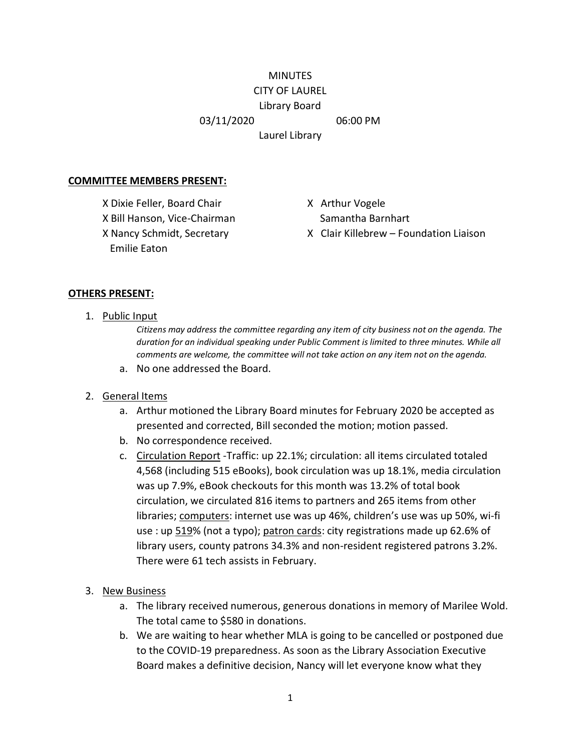#### **MINUTES** CITY OF LAUREL

# Library Board

03/11/2020 06:00 PM

Laurel Library

## **COMMITTEE MEMBERS PRESENT:**

X Dixie Feller, Board Chair X Arthur Vogele X Bill Hanson, Vice-Chairman Samantha Barnhart Emilie Eaton

X Nancy Schmidt, Secretary X Clair Killebrew – Foundation Liaison

#### **OTHERS PRESENT:**

1. Public Input

*Citizens may address the committee regarding any item of city business not on the agenda. The duration for an individual speaking under Public Comment is limited to three minutes. While all comments are welcome, the committee will not take action on any item not on the agenda.*

a. No one addressed the Board.

## 2. General Items

- a. Arthur motioned the Library Board minutes for February 2020 be accepted as presented and corrected, Bill seconded the motion; motion passed.
- b. No correspondence received.
- c. Circulation Report -Traffic: up 22.1%; circulation: all items circulated totaled 4,568 (including 515 eBooks), book circulation was up 18.1%, media circulation was up 7.9%, eBook checkouts for this month was 13.2% of total book circulation, we circulated 816 items to partners and 265 items from other libraries; computers: internet use was up 46%, children's use was up 50%, wi-fi use : up 519% (not a typo); patron cards: city registrations made up 62.6% of library users, county patrons 34.3% and non-resident registered patrons 3.2%. There were 61 tech assists in February.
- 3. New Business
	- a. The library received numerous, generous donations in memory of Marilee Wold. The total came to \$580 in donations.
	- b. We are waiting to hear whether MLA is going to be cancelled or postponed due to the COVID-19 preparedness. As soon as the Library Association Executive Board makes a definitive decision, Nancy will let everyone know what they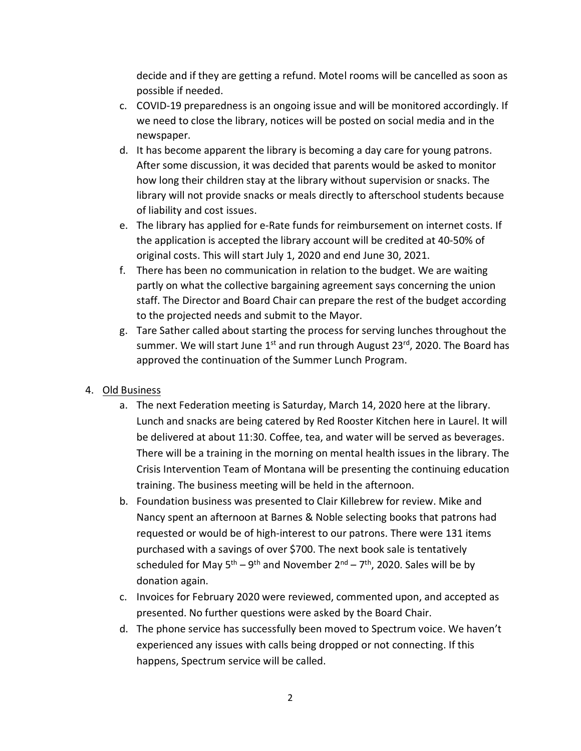decide and if they are getting a refund. Motel rooms will be cancelled as soon as possible if needed.

- c. COVID-19 preparedness is an ongoing issue and will be monitored accordingly. If we need to close the library, notices will be posted on social media and in the newspaper.
- d. It has become apparent the library is becoming a day care for young patrons. After some discussion, it was decided that parents would be asked to monitor how long their children stay at the library without supervision or snacks. The library will not provide snacks or meals directly to afterschool students because of liability and cost issues.
- e. The library has applied for e-Rate funds for reimbursement on internet costs. If the application is accepted the library account will be credited at 40-50% of original costs. This will start July 1, 2020 and end June 30, 2021.
- f. There has been no communication in relation to the budget. We are waiting partly on what the collective bargaining agreement says concerning the union staff. The Director and Board Chair can prepare the rest of the budget according to the projected needs and submit to the Mayor.
- g. Tare Sather called about starting the process for serving lunches throughout the summer. We will start June  $1<sup>st</sup>$  and run through August 23<sup>rd</sup>, 2020. The Board has approved the continuation of the Summer Lunch Program.
- 4. Old Business
	- a. The next Federation meeting is Saturday, March 14, 2020 here at the library. Lunch and snacks are being catered by Red Rooster Kitchen here in Laurel. It will be delivered at about 11:30. Coffee, tea, and water will be served as beverages. There will be a training in the morning on mental health issues in the library. The Crisis Intervention Team of Montana will be presenting the continuing education training. The business meeting will be held in the afternoon.
	- b. Foundation business was presented to Clair Killebrew for review. Mike and Nancy spent an afternoon at Barnes & Noble selecting books that patrons had requested or would be of high-interest to our patrons. There were 131 items purchased with a savings of over \$700. The next book sale is tentatively scheduled for May  $5<sup>th</sup> - 9<sup>th</sup>$  and November  $2<sup>nd</sup> - 7<sup>th</sup>$ , 2020. Sales will be by donation again.
	- c. Invoices for February 2020 were reviewed, commented upon, and accepted as presented. No further questions were asked by the Board Chair.
	- d. The phone service has successfully been moved to Spectrum voice. We haven't experienced any issues with calls being dropped or not connecting. If this happens, Spectrum service will be called.